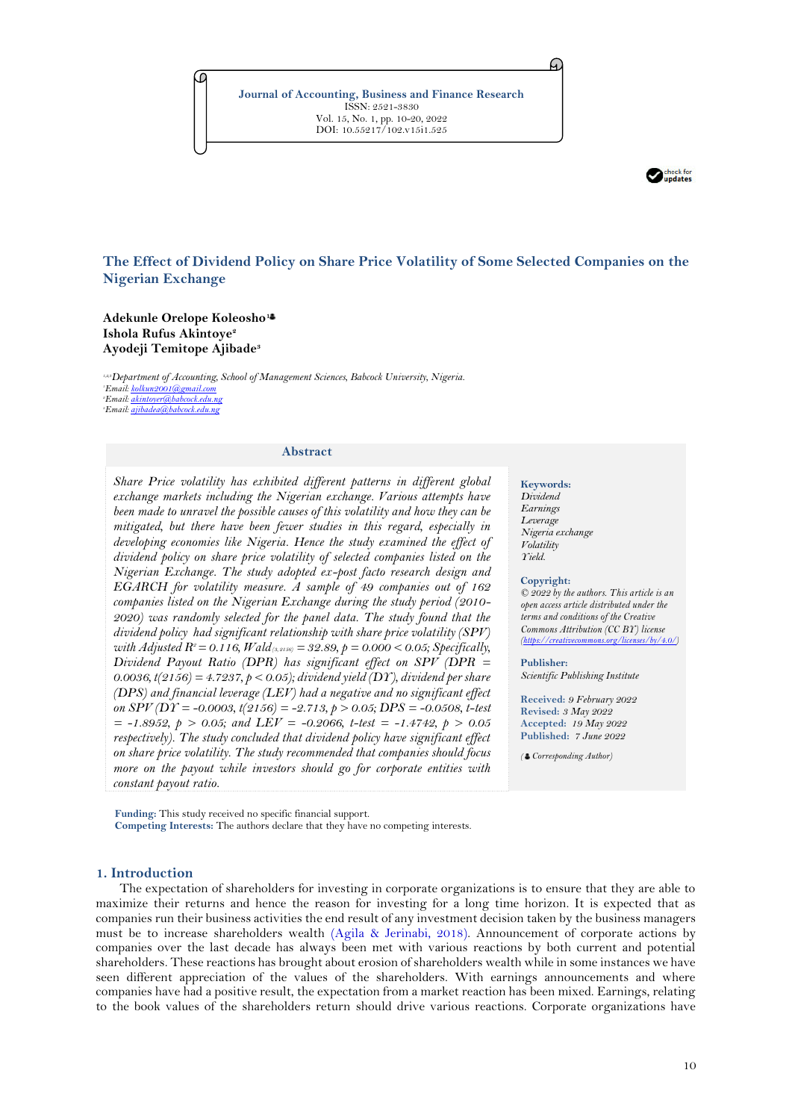**Journal of Accounting, Business and Finance Research** ISSN: 2521-3830 Vol. 15, No. 1, pp. 10-20, 2022 DOI: 10.55217/102.v15i1.525



## **The Effect of Dividend Policy on Share Price Volatility of Some Selected Companies on the Nigerian Exchange**

**Adekunle Orelope Koleosho<sup>1</sup> Ishola Rufus Akintoye<sup>2</sup> Ayodeji Temitope Ajibade<sup>3</sup>**

*1,2,3Department of Accounting, School of Management Sciences, Babcock University, Nigeria. Email[: kolkun2001@gmail.com](mailto:kolkun2001@gmail.com) Email[: akintoyer@babcock.edu.ng](mailto:akintoyer@babcock.edu.ng) Email[: ajibadea@babcock.edu.ng](mailto:ajibadea@babcock.edu.ng)*

#### **Abstract**

*Share Price volatility has exhibited different patterns in different global exchange markets including the Nigerian exchange. Various attempts have been made to unravel the possible causes of this volatility and how they can be mitigated, but there have been fewer studies in this regard, especially in developing economies like Nigeria. Hence the study examined the effect of dividend policy on share price volatility of selected companies listed on the Nigerian Exchange. The study adopted ex-post facto research design and EGARCH for volatility measure. A sample of 49 companies out of 162 companies listed on the Nigerian Exchange during the study period (2010- 2020) was randomly selected for the panel data. The study found that the dividend policy had significant relationship with share price volatility (SPV) with Adjusted R2 = 0.116, Wald(3, 2156) = 32.89, p = 0.000 < 0.05; Specifically, Dividend Payout Ratio (DPR) has significant effect on SPV (DPR = 0.0036, t(2156) = 4.7237, p < 0.05); dividend yield (DY), dividend per share (DPS) and financial leverage (LEV) had a negative and no significant effect on SPV (DY = -0.0003, t(2156) = -2.713, p > 0.05; DPS = -0.0508, t-test = -1.8952, p > 0.05; and LEV = -0.2066, t-test = -1.4742, p > 0.05 respectively). The study concluded that dividend policy have significant effect on share price volatility. The study recommended that companies should focus more on the payout while investors should go for corporate entities with constant payout ratio.*

**Funding:** This study received no specific financial support. **Competing Interests:** The authors declare that they have no competing interests.

# **Keywords:**

A.

*Dividend Earnings Leverage Nigeria exchange Volatility Yield.*

#### **Copyright:**

*© 2022 by the authors. This article is an open access article distributed under the terms and conditions of the Creative Commons Attribution (CC BY) license [\(https://creativecommons.org/licenses/by/4.0/\)](https://creativecommons.org/licenses/by/4.0/)*

### **Publisher:**

*Scientific Publishing Institute*

**Received:** *9 February 2022* **Revised:** *3 May 2022* **Accepted:** *19 May 2022* **Published:** *7 June 2022*

*( Corresponding Author)*

### **1. Introduction**

The expectation of shareholders for investing in corporate organizations is to ensure that they are able to maximize their returns and hence the reason for investing for a long time horizon. It is expected that as companies run their business activities the end result of any investment decision taken by the business managers must be to increase shareholders wealth [\(Agila & Jerinabi, 2018\)](#page-9-0). Announcement of corporate actions by companies over the last decade has always been met with various reactions by both current and potential shareholders. These reactions has brought about erosion of shareholders wealth while in some instances we have seen different appreciation of the values of the shareholders. With earnings announcements and where companies have had a positive result, the expectation from a market reaction has been mixed. Earnings, relating to the book values of the shareholders return should drive various reactions. Corporate organizations have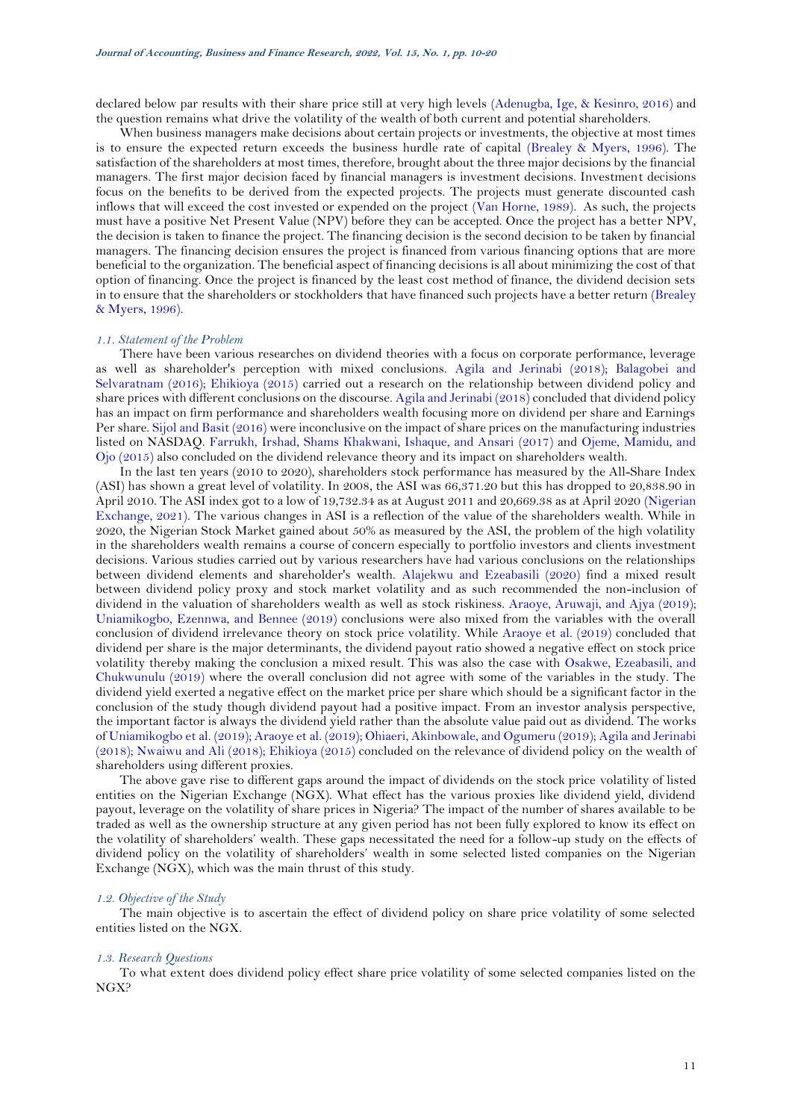declared below par results with their share price still at very high levels [\(Adenugba, Ige, & Kesinro, 2016\)](#page-9-1) and the question remains what drive the volatility of the wealth of both current and potential shareholders.

When business managers make decisions about certain projects or investments, the objective at most times is to ensure the expected return exceeds the business hurdle rate of capital [\(Brealey & Myers, 1996\)](#page-9-2). The satisfaction of the shareholders at most times, therefore, brought about the three major decisions by the financial managers. The first major decision faced by financial managers is investment decisions. Investment decisions focus on the benefits to be derived from the expected projects. The projects must generate discounted cash inflows that will exceed the cost invested or expended on the project [\(Van Horne, 1989\)](#page-10-0). As such, the projects must have a positive Net Present Value (NPV) before they can be accepted. Once the project has a better NPV, the decision is taken to finance the project. The financing decision is the second decision to be taken by financial managers. The financing decision ensures the project is financed from various financing options that are more beneficial to the organization. The beneficial aspect of financing decisions is all about minimizing the cost of that option of financing. Once the project is financed by the least cost method of finance, the dividend decision sets in to ensure that the shareholders or stockholders that have financed such projects have a better return [\(Brealey](#page-9-2)  [& Myers, 1996\)](#page-9-2).

#### *1.1. Statement of the Problem*

There have been various researches on dividend theories with a focus on corporate performance, leverage as well as shareholder's perception with mixed conclusions. [Agila and Jerinabi \(2018\)](#page-9-0); [Balagobei and](#page-9-3)  [Selvaratnam \(2016\)](#page-9-3); [Ehikioya \(2015\)](#page-9-4) carried out a research on the relationship between dividend policy and share prices with different conclusions on the discourse[. Agila and Jerinabi \(2018\)](#page-9-0) concluded that dividend policy has an impact on firm performance and shareholders wealth focusing more on dividend per share and Earnings Per share[. Sijol and Basit \(2016\)](#page-10-1) were inconclusive on the impact of share prices on the manufacturing industries listed on NASDAQ. [Farrukh, Irshad, Shams Khakwani, Ishaque, and Ansari](#page-9-5) (2017) and [Ojeme, Mamidu, and](#page-10-2)  [Ojo \(2015\)](#page-10-2) also concluded on the dividend relevance theory and its impact on shareholders wealth.

In the last ten years (2010 to 2020), shareholders stock performance has measured by the All-Share Index (ASI) has shown a great level of volatility. In 2008, the ASI was 66,371.20 but this has dropped to 20,838.90 in April 2010. The ASI index got to a low of 19,732.34 as at August 2011 and 20,669.38 as at April 2020 [\(Nigerian](#page-10-3)  [Exchange, 2021\)](#page-10-3). The various changes in ASI is a reflection of the value of the shareholders wealth. While in 2020, the Nigerian Stock Market gained about 50% as measured by the ASI, the problem of the high volatility in the shareholders wealth remains a course of concern especially to portfolio investors and clients investment decisions. Various studies carried out by various researchers have had various conclusions on the relationships between dividend elements and shareholder's wealth. [Alajekwu and Ezeabasili \(2020\)](#page-9-6) find a mixed result between dividend policy proxy and stock market volatility and as such recommended the non-inclusion of dividend in the valuation of shareholders wealth as well as stock riskiness. [Araoye, Aruwaji, and Ajya \(2019\)](#page-9-7); [Uniamikogbo, Ezennwa, and Bennee \(2019\)](#page-10-4) conclusions were also mixed from the variables with the overall conclusion of dividend irrelevance theory on stock price volatility. While [Araoye et al. \(2019\)](#page-9-7) concluded that dividend per share is the major determinants, the dividend payout ratio showed a negative effect on stock price volatility thereby making the conclusion a mixed result. This was also the case with [Osakwe, Ezeabasili, and](#page-10-5)  [Chukwunulu \(2019\)](#page-10-5) where the overall conclusion did not agree with some of the variables in the study. The dividend yield exerted a negative effect on the market price per share which should be a significant factor in the conclusion of the study though dividend payout had a positive impact. From an investor analysis perspective, the important factor is always the dividend yield rather than the absolute value paid out as dividend. The works of [Uniamikogbo et al. \(2019\)](#page-10-4); [Araoye et al. \(2019\)](#page-9-7); [Ohiaeri, Akinbowale, and Ogumeru \(2019\)](#page-10-6); [Agila and Jerinabi](#page-9-0)  [\(2018\)](#page-9-0); [Nwaiwu and Ali \(2018\)](#page-10-7); [Ehikioya \(2015\)](#page-9-4) concluded on the relevance of dividend policy on the wealth of shareholders using different proxies.

The above gave rise to different gaps around the impact of dividends on the stock price volatility of listed entities on the Nigerian Exchange (NGX). What effect has the various proxies like dividend yield, dividend payout, leverage on the volatility of share prices in Nigeria? The impact of the number of shares available to be traded as well as the ownership structure at any given period has not been fully explored to know its effect on the volatility of shareholders' wealth. These gaps necessitated the need for a follow-up study on the effects of dividend policy on the volatility of shareholders' wealth in some selected listed companies on the Nigerian Exchange (NGX), which was the main thrust of this study.

#### *1.2. Objective of the Study*

The main objective is to ascertain the effect of dividend policy on share price volatility of some selected entities listed on the NGX.

#### *1.3. Research Questions*

To what extent does dividend policy effect share price volatility of some selected companies listed on the NGX?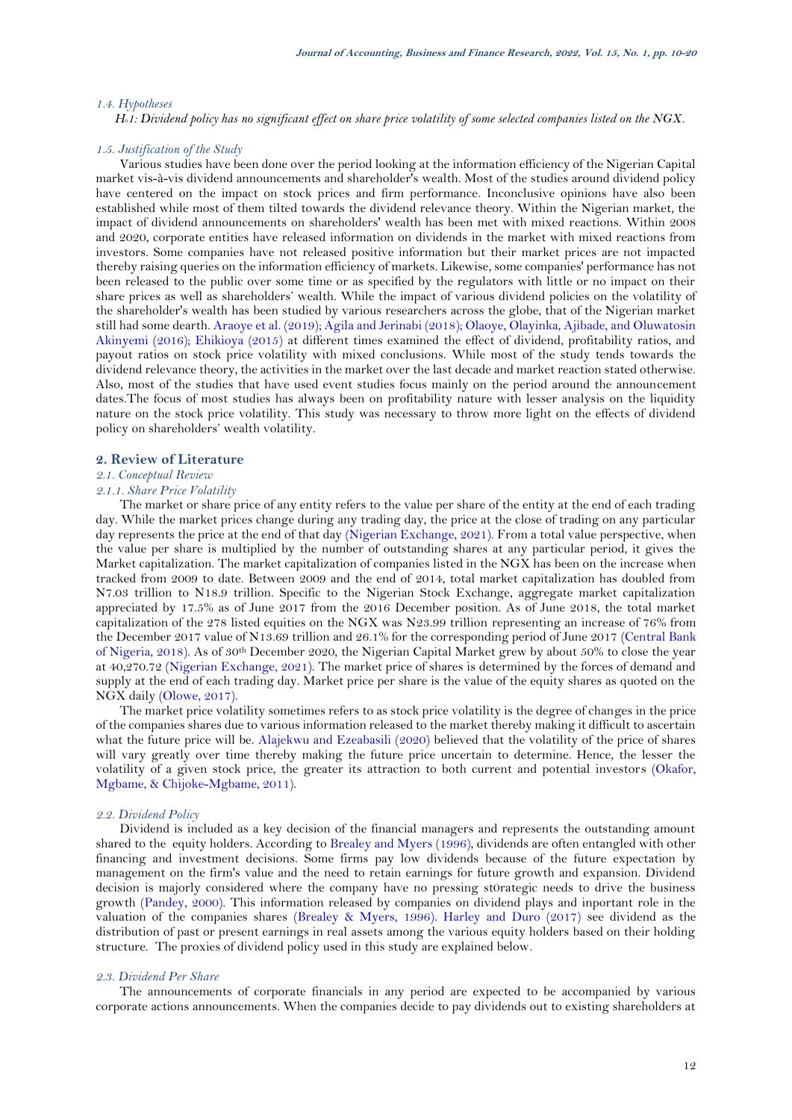#### *1.4. Hypotheses*

*H01: Dividend policy has no significant effect on share price volatility of some selected companies listed on the NGX.*

#### *1.5. Justification of the Study*

Various studies have been done over the period looking at the information efficiency of the Nigerian Capital market vis-à-vis dividend announcements and shareholder's wealth. Most of the studies around dividend policy have centered on the impact on stock prices and firm performance. Inconclusive opinions have also been established while most of them tilted towards the dividend relevance theory. Within the Nigerian market, the impact of dividend announcements on shareholders' wealth has been met with mixed reactions. Within 2008 and 2020, corporate entities have released information on dividends in the market with mixed reactions from investors. Some companies have not released positive information but their market prices are not impacted thereby raising queries on the information efficiency of markets. Likewise, some companies' performance has not been released to the public over some time or as specified by the regulators with little or no impact on their share prices as well as shareholders' wealth. While the impact of various dividend policies on the volatility of the shareholder's wealth has been studied by various researchers across the globe, that of the Nigerian market still had some dearth[. Araoye et al. \(2019\)](#page-9-7); [Agila and Jerinabi \(2018\)](#page-9-0); [Olaoye, Olayinka, Ajibade, and Oluwatosin](#page-10-8)  [Akinyemi \(2016\)](#page-10-8); [Ehikioya \(2015\)](#page-9-4) at different times examined the effect of dividend, profitability ratios, and payout ratios on stock price volatility with mixed conclusions. While most of the study tends towards the dividend relevance theory, the activities in the market over the last decade and market reaction stated otherwise. Also, most of the studies that have used event studies focus mainly on the period around the announcement dates.The focus of most studies has always been on profitability nature with lesser analysis on the liquidity nature on the stock price volatility. This study was necessary to throw more light on the effects of dividend policy on shareholders' wealth volatility.

### **2. Review of Literature**

### *2.1. Conceptual Review*

### *2.1.1. Share Price Volatility*

The market or share price of any entity refers to the value per share of the entity at the end of each trading day. While the market prices change during any trading day, the price at the close of trading on any particular day represents the price at the end of that day [\(Nigerian Exchange, 2021\)](#page-10-3). From a total value perspective, when the value per share is multiplied by the number of outstanding shares at any particular period, it gives the Market capitalization. The market capitalization of companies listed in the NGX has been on the increase when tracked from 2009 to date. Between 2009 and the end of 2014, total market capitalization has doubled from N7.03 trillion to N18.9 trillion. Specific to the Nigerian Stock Exchange, aggregate market capitalization appreciated by 17.5% as of June 2017 from the 2016 December position. As of June 2018, the total market capitalization of the 278 listed equities on the NGX was N23.99 trillion representing an increase of 76% from the December 2017 value of N13.69 trillion and 26.1% for the corresponding period of June 2017 [\(Central Bank](#page-9-8)  [of Nigeria, 2018\)](#page-9-8). As of 30th December 2020, the Nigerian Capital Market grew by about 50% to close the year at 40,270.72 [\(Nigerian Exchange, 2021\)](#page-10-3). The market price of shares is determined by the forces of demand and supply at the end of each trading day. Market price per share is the value of the equity shares as quoted on the NGX daily [\(Olowe, 2017\)](#page-10-9).

The market price volatility sometimes refers to as stock price volatility is the degree of changes in the price of the companies shares due to various information released to the market thereby making it difficult to ascertain what the future price will be. [Alajekwu and Ezeabasili \(2020\)](#page-9-6) believed that the volatility of the price of shares will vary greatly over time thereby making the future price uncertain to determine. Hence, the lesser the volatility of a given stock price, the greater its attraction to both current and potential investors [\(Okafor,](#page-10-10)  [Mgbame, & Chijoke-Mgbame, 2011\)](#page-10-10).

### *2.2. Dividend Policy*

Dividend is included as a key decision of the financial managers and represents the outstanding amount shared to the equity holders. According to [Brealey and Myers \(1996\)](#page-9-2), dividends are often entangled with other financing and investment decisions. Some firms pay low dividends because of the future expectation by management on the firm's value and the need to retain earnings for future growth and expansion. Dividend decision is majorly considered where the company have no pressing st0rategic needs to drive the business growth [\(Pandey, 2000\)](#page-10-11). This information released by companies on dividend plays and inportant role in the valuation of the companies shares [\(Brealey & Myers, 1996\)](#page-9-2). [Harley and Duro \(2017\)](#page-9-9) see dividend as the distribution of past or present earnings in real assets among the various equity holders based on their holding structure. The proxies of dividend policy used in this study are explained below.

#### *2.3. Dividend Per Share*

The announcements of corporate financials in any period are expected to be accompanied by various corporate actions announcements. When the companies decide to pay dividends out to existing shareholders at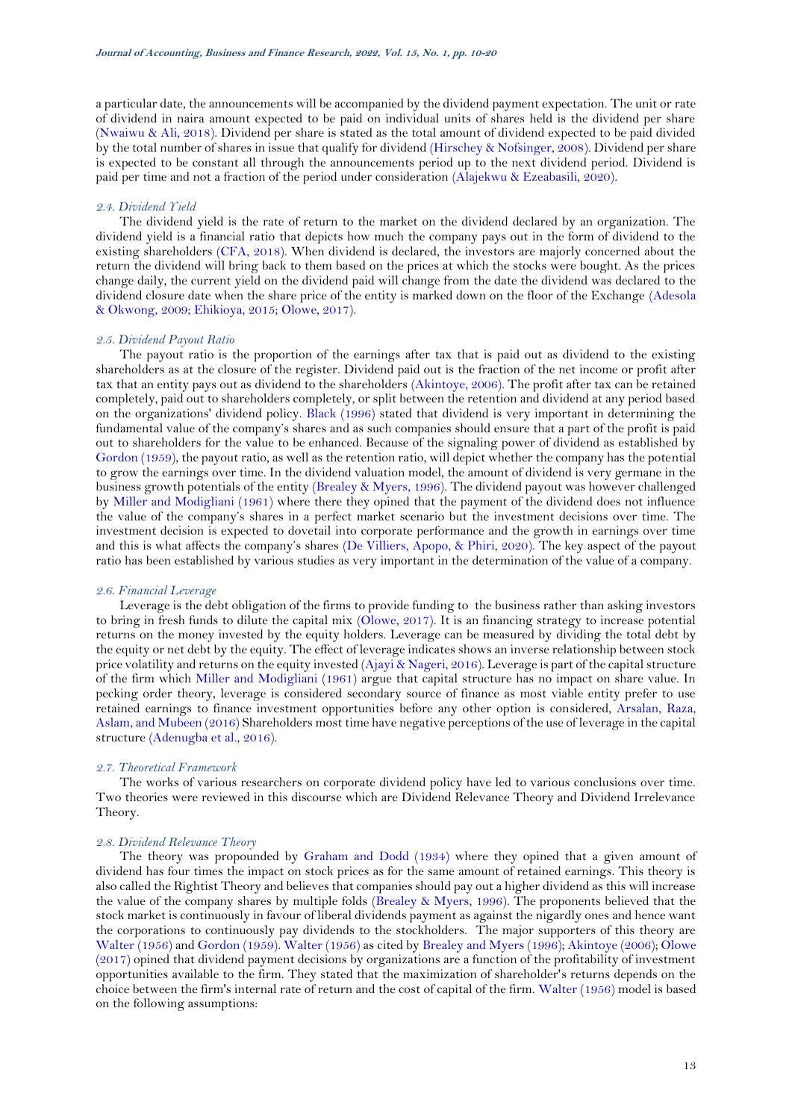a particular date, the announcements will be accompanied by the dividend payment expectation. The unit or rate of dividend in naira amount expected to be paid on individual units of shares held is the dividend per share [\(Nwaiwu & Ali, 2018\)](#page-10-7). Dividend per share is stated as the total amount of dividend expected to be paid divided by the total number of shares in issue that qualify for dividend [\(Hirschey & Nofsinger, 2008\)](#page-9-10). Dividend per share is expected to be constant all through the announcements period up to the next dividend period. Dividend is paid per time and not a fraction of the period under consideration [\(Alajekwu & Ezeabasili, 2020\)](#page-9-6).

#### *2.4. Dividend Yield*

The dividend yield is the rate of return to the market on the dividend declared by an organization. The dividend yield is a financial ratio that depicts how much the company pays out in the form of dividend to the existing shareholders [\(CFA, 2018\)](#page-9-11). When dividend is declared, the investors are majorly concerned about the return the dividend will bring back to them based on the prices at which the stocks were bought. As the prices change daily, the current yield on the dividend paid will change from the date the dividend was declared to the dividend closure date when the share price of the entity is marked down on the floor of the Exchange [\(Adesola](#page-9-12)  [& Okwong, 2009;](#page-9-12) [Ehikioya, 2015;](#page-9-4) [Olowe, 2017\)](#page-10-9).

#### *2.5. Dividend Payout Ratio*

The payout ratio is the proportion of the earnings after tax that is paid out as dividend to the existing shareholders as at the closure of the register. Dividend paid out is the fraction of the net income or profit after tax that an entity pays out as dividend to the shareholders [\(Akintoye, 2006\)](#page-9-13). The profit after tax can be retained completely, paid out to shareholders completely, or split between the retention and dividend at any period based on the organizations' dividend policy. [Black \(1996\)](#page-9-14) stated that dividend is very important in determining the fundamental value of the company's shares and as such companies should ensure that a part of the profit is paid out to shareholders for the value to be enhanced. Because of the signaling power of dividend as established by [Gordon \(1959\)](#page-9-15), the payout ratio, as well as the retention ratio, will depict whether the company has the potential to grow the earnings over time. In the dividend valuation model, the amount of dividend is very germane in the business growth potentials of the entity [\(Brealey & Myers, 1996\)](#page-9-2). The dividend payout was however challenged by [Miller and Modigliani \(1961\)](#page-10-12) where there they opined that the payment of the dividend does not influence the value of the company's shares in a perfect market scenario but the investment decisions over time. The investment decision is expected to dovetail into corporate performance and the growth in earnings over time and this is what affects the company's shares [\(De Villiers, Apopo, & Phiri, 2020\)](#page-9-16). The key aspect of the payout ratio has been established by various studies as very important in the determination of the value of a company.

### *2.6. Financial Leverage*

Leverage is the debt obligation of the firms to provide funding to the business rather than asking investors to bring in fresh funds to dilute the capital mix [\(Olowe, 2017\)](#page-10-9). It is an financing strategy to increase potential returns on the money invested by the equity holders. Leverage can be measured by dividing the total debt by the equity or net debt by the equity. The effect of leverage indicates shows an inverse relationship between stock price volatility and returns on the equity invested [\(Ajayi & Nageri, 2016\)](#page-9-17). Leverage is part of the capital structure of the firm which [Miller and Modigliani \(1961\)](#page-10-12) argue that capital structure has no impact on share value. In pecking order theory, leverage is considered secondary source of finance as most viable entity prefer to use retained earnings to finance investment opportunities before any other option is considered, [Arsalan, Raza,](#page-9-18)  [Aslam, and Mubeen \(2016\)](#page-9-18) Shareholders most time have negative perceptions of the use of leverage in the capital structure [\(Adenugba et al., 2016\)](#page-9-1).

#### *2.7. Theoretical Framework*

The works of various researchers on corporate dividend policy have led to various conclusions over time. Two theories were reviewed in this discourse which are Dividend Relevance Theory and Dividend Irrelevance Theory.

### *2.8. Dividend Relevance Theory*

The theory was propounded by [Graham and Dodd \(1934\)](#page-9-19) where they opined that a given amount of dividend has four times the impact on stock prices as for the same amount of retained earnings. This theory is also called the Rightist Theory and believes that companies should pay out a higher dividend as this will increase the value of the company shares by multiple folds [\(Brealey & Myers, 1996\)](#page-9-2). The proponents believed that the stock market is continuously in favour of liberal dividends payment as against the nigardly ones and hence want the corporations to continuously pay dividends to the stockholders. The major supporters of this theory are [Walter \(1956\)](#page-10-13) an[d Gordon \(1959\)](#page-9-15)[. Walter \(1956\)](#page-10-13) as cited b[y Brealey and Myers \(1996\)](#page-9-2); [Akintoye \(2006\)](#page-9-13); [Olowe](#page-10-9)  [\(2017\)](#page-10-9) opined that dividend payment decisions by organizations are a function of the profitability of investment opportunities available to the firm. They stated that the maximization of shareholder's returns depends on the choice between the firm's internal rate of return and the cost of capital of the firm[. Walter \(1956\)](#page-10-13) model is based on the following assumptions: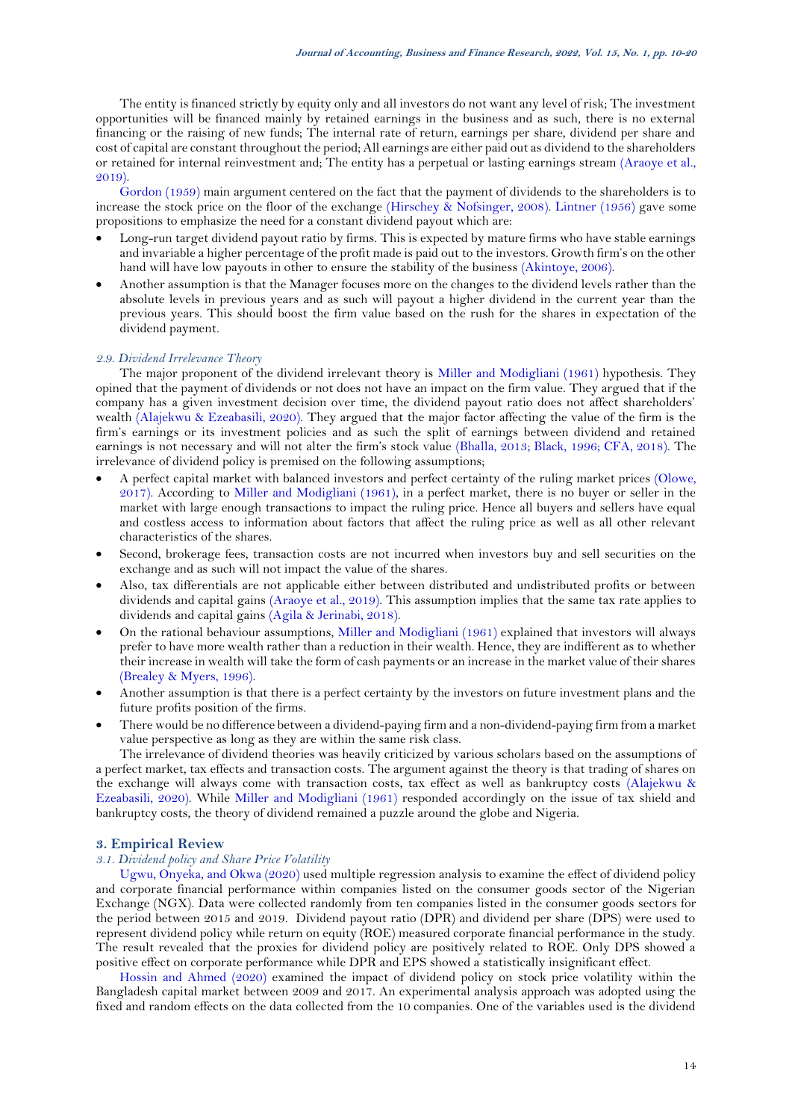The entity is financed strictly by equity only and all investors do not want any level of risk; The investment opportunities will be financed mainly by retained earnings in the business and as such, there is no external financing or the raising of new funds; The internal rate of return, earnings per share, dividend per share and cost of capital are constant throughout the period; All earnings are either paid out as dividend to the shareholders or retained for internal reinvestment and; The entity has a perpetual or lasting earnings stream [\(Araoye et al.,](#page-9-7)  [2019\)](#page-9-7).

[Gordon \(1959\)](#page-9-15) main argument centered on the fact that the payment of dividends to the shareholders is to increase the stock price on the floor of the exchange [\(Hirschey & Nofsinger, 2008\)](#page-9-10). [Lintner \(1956\)](#page-9-20) gave some propositions to emphasize the need for a constant dividend payout which are:

- Long-run target dividend payout ratio by firms. This is expected by mature firms who have stable earnings and invariable a higher percentage of the profit made is paid out to the investors. Growth firm's on the other hand will have low payouts in other to ensure the stability of the business [\(Akintoye, 2006\)](#page-9-13).
- Another assumption is that the Manager focuses more on the changes to the dividend levels rather than the absolute levels in previous years and as such will payout a higher dividend in the current year than the previous years. This should boost the firm value based on the rush for the shares in expectation of the dividend payment.

#### *2.9. Dividend Irrelevance Theory*

The major proponent of the dividend irrelevant theory is [Miller and Modigliani \(1961\)](#page-10-12) hypothesis. They opined that the payment of dividends or not does not have an impact on the firm value. They argued that if the company has a given investment decision over time, the dividend payout ratio does not affect shareholders' wealth [\(Alajekwu & Ezeabasili, 2020\)](#page-9-6). They argued that the major factor affecting the value of the firm is the firm's earnings or its investment policies and as such the split of earnings between dividend and retained earnings is not necessary and will not alter the firm's stock value [\(Bhalla, 2013;](#page-9-21) [Black, 1996;](#page-9-14) [CFA, 2018\)](#page-9-11). The irrelevance of dividend policy is premised on the following assumptions;

- A perfect capital market with balanced investors and perfect certainty of the ruling market prices [\(Olowe,](#page-10-9)  [2017\)](#page-10-9). According to [Miller and Modigliani \(1961\)](#page-10-12), in a perfect market, there is no buyer or seller in the market with large enough transactions to impact the ruling price. Hence all buyers and sellers have equal and costless access to information about factors that affect the ruling price as well as all other relevant characteristics of the shares.
- Second, brokerage fees, transaction costs are not incurred when investors buy and sell securities on the exchange and as such will not impact the value of the shares.
- Also, tax differentials are not applicable either between distributed and undistributed profits or between dividends and capital gains [\(Araoye et al., 2019\)](#page-9-7). This assumption implies that the same tax rate applies to dividends and capital gains [\(Agila & Jerinabi, 2018\)](#page-9-0).
- On the rational behaviour assumptions, [Miller and Modigliani \(1961\)](#page-10-12) explained that investors will always prefer to have more wealth rather than a reduction in their wealth. Hence, they are indifferent as to whether their increase in wealth will take the form of cash payments or an increase in the market value of their shares [\(Brealey & Myers, 1996\)](#page-9-2).
- Another assumption is that there is a perfect certainty by the investors on future investment plans and the future profits position of the firms.
- There would be no difference between a dividend-paying firm and a non-dividend-paying firm from a market value perspective as long as they are within the same risk class.

The irrelevance of dividend theories was heavily criticized by various scholars based on the assumptions of a perfect market, tax effects and transaction costs. The argument against the theory is that trading of shares on the exchange will always come with transaction costs, tax effect as well as bankruptcy costs [\(Alajekwu &](#page-9-6)  [Ezeabasili, 2020\)](#page-9-6). While [Miller and Modigliani \(1961\)](#page-10-12) responded accordingly on the issue of tax shield and bankruptcy costs, the theory of dividend remained a puzzle around the globe and Nigeria.

### **3. Empirical Review**

### *3.1. Dividend policy and Share Price Volatility*

[Ugwu, Onyeka, and Okwa \(2020\)](#page-10-14) used multiple regression analysis to examine the effect of dividend policy and corporate financial performance within companies listed on the consumer goods sector of the Nigerian Exchange (NGX). Data were collected randomly from ten companies listed in the consumer goods sectors for the period between 2015 and 2019. Dividend payout ratio (DPR) and dividend per share (DPS) were used to represent dividend policy while return on equity (ROE) measured corporate financial performance in the study. The result revealed that the proxies for dividend policy are positively related to ROE. Only DPS showed a positive effect on corporate performance while DPR and EPS showed a statistically insignificant effect.

[Hossin and Ahmed \(2020\)](#page-9-22) examined the impact of dividend policy on stock price volatility within the Bangladesh capital market between 2009 and 2017. An experimental analysis approach was adopted using the fixed and random effects on the data collected from the 10 companies. One of the variables used is the dividend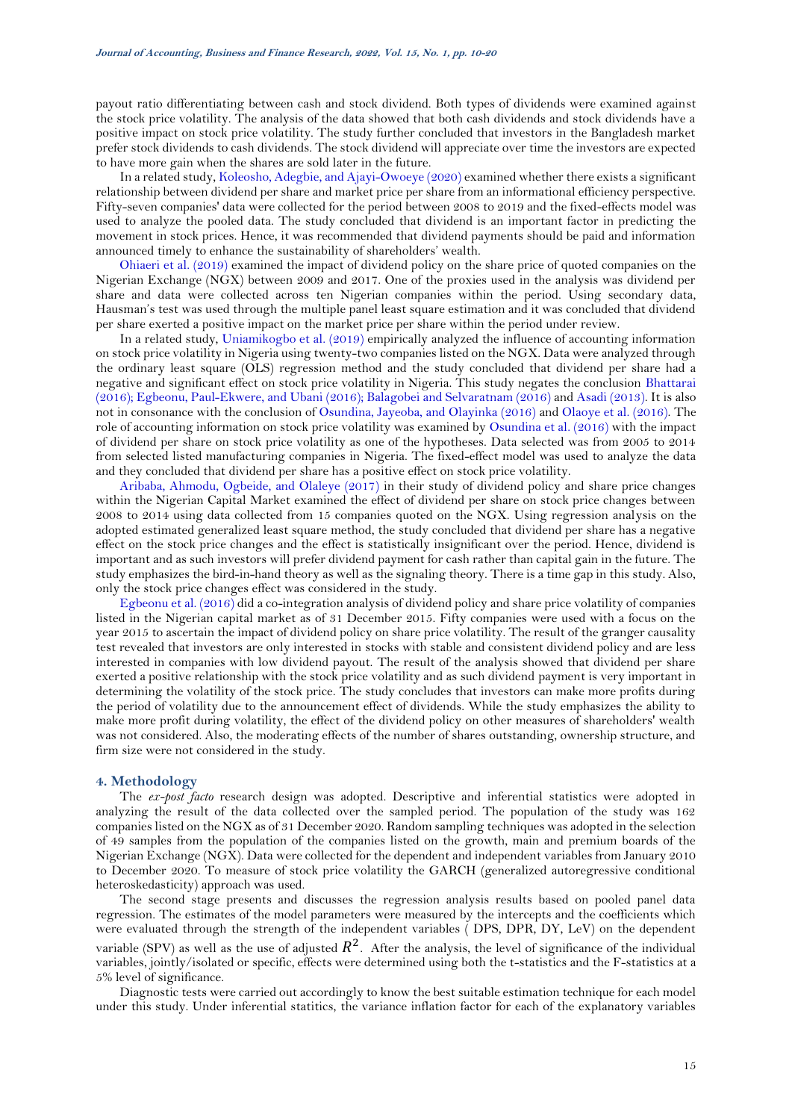payout ratio differentiating between cash and stock dividend. Both types of dividends were examined against the stock price volatility. The analysis of the data showed that both cash dividends and stock dividends have a positive impact on stock price volatility. The study further concluded that investors in the Bangladesh market prefer stock dividends to cash dividends. The stock dividend will appreciate over time the investors are expected to have more gain when the shares are sold later in the future.

In a related study[, Koleosho, Adegbie, and Ajayi-Owoeye \(2020\)](#page-9-23) examined whether there exists a significant relationship between dividend per share and market price per share from an informational efficiency perspective. Fifty-seven companies' data were collected for the period between 2008 to 2019 and the fixed-effects model was used to analyze the pooled data. The study concluded that dividend is an important factor in predicting the movement in stock prices. Hence, it was recommended that dividend payments should be paid and information announced timely to enhance the sustainability of shareholders' wealth.

[Ohiaeri et al. \(2019\)](#page-10-6) examined the impact of dividend policy on the share price of quoted companies on the Nigerian Exchange (NGX) between 2009 and 2017. One of the proxies used in the analysis was dividend per share and data were collected across ten Nigerian companies within the period. Using secondary data, Hausman's test was used through the multiple panel least square estimation and it was concluded that dividend per share exerted a positive impact on the market price per share within the period under review.

In a related study, [Uniamikogbo et al. \(2019\)](#page-10-4) empirically analyzed the influence of accounting information on stock price volatility in Nigeria using twenty-two companies listed on the NGX. Data were analyzed through the ordinary least square (OLS) regression method and the study concluded that dividend per share had a negative and significant effect on stock price volatility in Nigeria. This study negates the conclusion [Bhattarai](#page-9-24)  [\(2016\)](#page-9-24); [Egbeonu, Paul-Ekwere, and Ubani \(2016\)](#page-9-25); [Balagobei and Selvaratnam \(2016\)](#page-9-3) an[d Asadi \(2013\)](#page-9-26). It is also not in consonance with the conclusion of [Osundina, Jayeoba, and Olayinka \(2016\)](#page-10-15) an[d Olaoye et al. \(2016\)](#page-10-8). The role of accounting information on stock price volatility was examined by [Osundina et al. \(2016\)](#page-10-15) with the impact of dividend per share on stock price volatility as one of the hypotheses. Data selected was from 2005 to 2014 from selected listed manufacturing companies in Nigeria. The fixed-effect model was used to analyze the data and they concluded that dividend per share has a positive effect on stock price volatility.

[Aribaba, Ahmodu, Ogbeide, and Olaleye \(2017\)](#page-9-27) in their study of dividend policy and share price changes within the Nigerian Capital Market examined the effect of dividend per share on stock price changes between 2008 to 2014 using data collected from 15 companies quoted on the NGX. Using regression analysis on the adopted estimated generalized least square method, the study concluded that dividend per share has a negative effect on the stock price changes and the effect is statistically insignificant over the period. Hence, dividend is important and as such investors will prefer dividend payment for cash rather than capital gain in the future. The study emphasizes the bird-in-hand theory as well as the signaling theory. There is a time gap in this study. Also, only the stock price changes effect was considered in the study.

[Egbeonu et al. \(2016\)](#page-9-25) did a co-integration analysis of dividend policy and share price volatility of companies listed in the Nigerian capital market as of 31 December 2015. Fifty companies were used with a focus on the year 2015 to ascertain the impact of dividend policy on share price volatility. The result of the granger causality test revealed that investors are only interested in stocks with stable and consistent dividend policy and are less interested in companies with low dividend payout. The result of the analysis showed that dividend per share exerted a positive relationship with the stock price volatility and as such dividend payment is very important in determining the volatility of the stock price. The study concludes that investors can make more profits during the period of volatility due to the announcement effect of dividends. While the study emphasizes the ability to make more profit during volatility, the effect of the dividend policy on other measures of shareholders' wealth was not considered. Also, the moderating effects of the number of shares outstanding, ownership structure, and firm size were not considered in the study.

#### **4. Methodology**

The *ex-post facto* research design was adopted. Descriptive and inferential statistics were adopted in analyzing the result of the data collected over the sampled period. The population of the study was 162 companies listed on the NGX as of 31 December 2020. Random sampling techniques was adopted in the selection of 49 samples from the population of the companies listed on the growth, main and premium boards of the Nigerian Exchange (NGX). Data were collected for the dependent and independent variables from January 2010 to December 2020. To measure of stock price volatility the GARCH (generalized autoregressive conditional heteroskedasticity) approach was used.

The second stage presents and discusses the regression analysis results based on pooled panel data regression. The estimates of the model parameters were measured by the intercepts and the coefficients which were evaluated through the strength of the independent variables ( DPS, DPR, DY, LeV) on the dependent variable (SPV) as well as the use of adjusted  $R^2$ . After the analysis, the level of significance of the individual variables, jointly/isolated or specific, effects were determined using both the t-statistics and the F-statistics at a 5% level of significance.

Diagnostic tests were carried out accordingly to know the best suitable estimation technique for each model under this study. Under inferential statitics, the variance inflation factor for each of the explanatory variables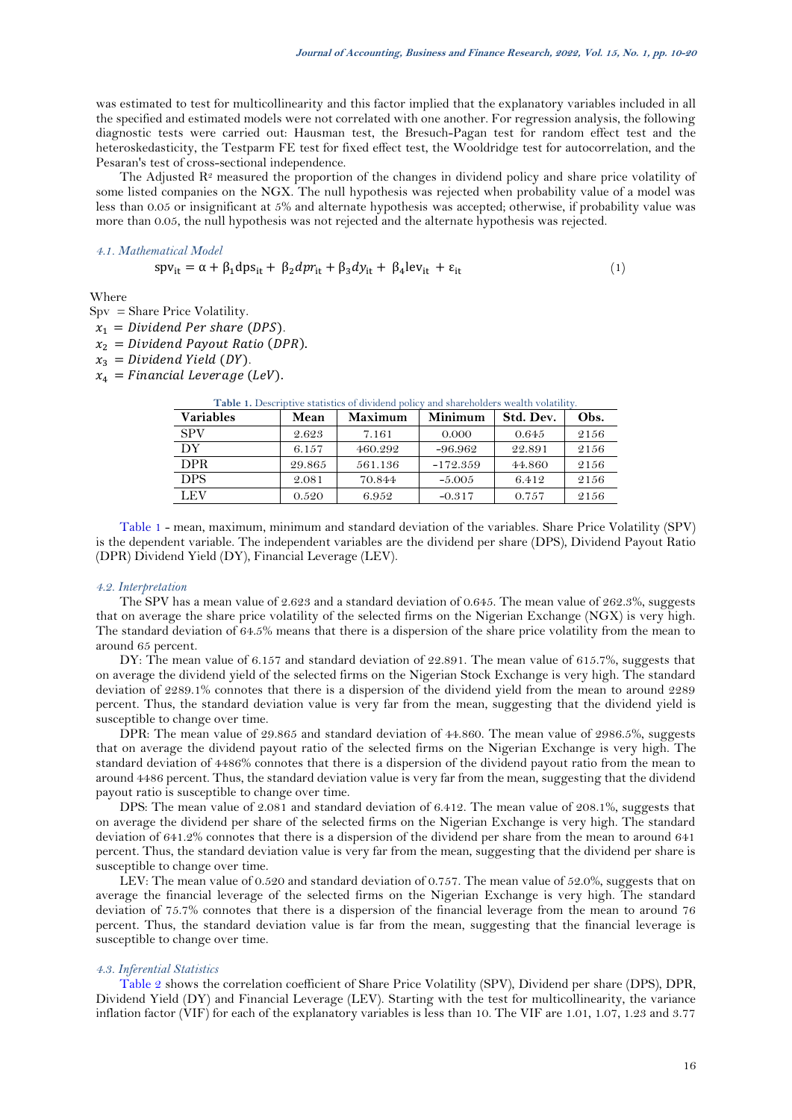was estimated to test for multicollinearity and this factor implied that the explanatory variables included in all the specified and estimated models were not correlated with one another. For regression analysis, the following diagnostic tests were carried out: Hausman test, the Bresuch-Pagan test for random effect test and the heteroskedasticity, the Testparm FE test for fixed effect test, the Wooldridge test for autocorrelation, and the Pesaran's test of cross-sectional independence.

The Adjusted  $\mathbb{R}^2$  measured the proportion of the changes in dividend policy and share price volatility of some listed companies on the NGX. The null hypothesis was rejected when probability value of a model was less than 0.05 or insignificant at 5% and alternate hypothesis was accepted; otherwise, if probability value was more than 0.05, the null hypothesis was not rejected and the alternate hypothesis was rejected.

#### *4.1. Mathematical Model*

$$
spv_{it} = \alpha + \beta_1 dps_{it} + \beta_2 dpr_{it} + \beta_3 dy_{it} + \beta_4 lev_{it} + \varepsilon_{it}
$$
 (1)

Where

Spv = Share Price Volatility.

- $x_1 = Dividend$  Per share (DPS).
- $x_2 = Dividend\; Payout\; Ratio\; (DPR).$
- $x_3 = Dividend Yield(DY).$
- <span id="page-6-0"></span> $x_4$  = Financial Leverage (LeV).

| <b>Variables</b> | Mean   | <b>Maximum</b> | Minimum    | Std. Dev. | Obs. |
|------------------|--------|----------------|------------|-----------|------|
| <b>SPV</b>       | 2.623  | 7.161          | 0.000      | 0.645     | 2156 |
| DY               | 6.157  | 460.292        | $-96.962$  | 22.891    | 2156 |
| <b>DPR</b>       | 29.865 | 561.136        | $-172.359$ | 44.860    | 2156 |
| <b>DPS</b>       | 2.081  | 70.844         | $-5.005$   | 6.412     | 2156 |
| LEV              | 0.520  | 6.952          | $-0.317$   | 0.757     | 2156 |

Table 1. Descriptive statistics of dividend policy and shareholders wealth volatility.

[Table 1](#page-6-0) - mean, maximum, minimum and standard deviation of the variables. Share Price Volatility (SPV) is the dependent variable. The independent variables are the dividend per share (DPS), Dividend Payout Ratio (DPR) Dividend Yield (DY), Financial Leverage (LEV).

#### *4.2. Interpretation*

The SPV has a mean value of 2.623 and a standard deviation of 0.645. The mean value of 262.3%, suggests that on average the share price volatility of the selected firms on the Nigerian Exchange (NGX) is very high. The standard deviation of 64.5% means that there is a dispersion of the share price volatility from the mean to around 65 percent.

DY: The mean value of 6.157 and standard deviation of 22.891. The mean value of 615.7%, suggests that on average the dividend yield of the selected firms on the Nigerian Stock Exchange is very high. The standard deviation of 2289.1% connotes that there is a dispersion of the dividend yield from the mean to around 2289 percent. Thus, the standard deviation value is very far from the mean, suggesting that the dividend yield is susceptible to change over time.

DPR: The mean value of 29.865 and standard deviation of 44.860. The mean value of 2986.5%, suggests that on average the dividend payout ratio of the selected firms on the Nigerian Exchange is very high. The standard deviation of 4486% connotes that there is a dispersion of the dividend payout ratio from the mean to around 4486 percent. Thus, the standard deviation value is very far from the mean, suggesting that the dividend payout ratio is susceptible to change over time.

DPS: The mean value of 2.081 and standard deviation of 6.412. The mean value of 208.1%, suggests that on average the dividend per share of the selected firms on the Nigerian Exchange is very high. The standard deviation of 641.2% connotes that there is a dispersion of the dividend per share from the mean to around 641 percent. Thus, the standard deviation value is very far from the mean, suggesting that the dividend per share is susceptible to change over time.

LEV: The mean value of 0.520 and standard deviation of 0.757. The mean value of 52.0%, suggests that on average the financial leverage of the selected firms on the Nigerian Exchange is very high. The standard deviation of 75.7% connotes that there is a dispersion of the financial leverage from the mean to around 76 percent. Thus, the standard deviation value is far from the mean, suggesting that the financial leverage is susceptible to change over time.

### *4.3. Inferential Statistics*

[Table 2](#page-7-0) shows the correlation coefficient of Share Price Volatility (SPV), Dividend per share (DPS), DPR, Dividend Yield (DY) and Financial Leverage (LEV). Starting with the test for multicollinearity, the variance inflation factor (VIF) for each of the explanatory variables is less than 10. The VIF are 1.01, 1.07, 1.23 and 3.77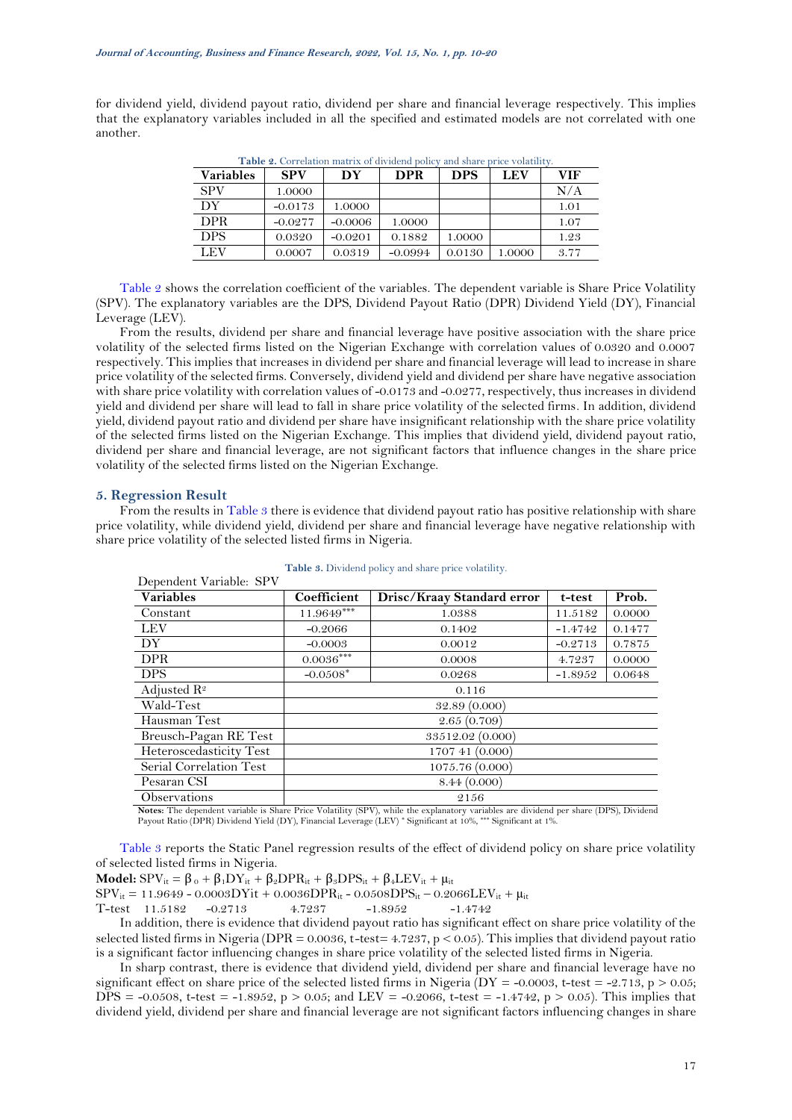<span id="page-7-0"></span>for dividend yield, dividend payout ratio, dividend per share and financial leverage respectively. This implies that the explanatory variables included in all the specified and estimated models are not correlated with one another.

| <b>Table 2.</b> Correlation matrix of dividend policy and share price volatility. |  |  |  |  |
|-----------------------------------------------------------------------------------|--|--|--|--|
|                                                                                   |  |  |  |  |

| <b>Variables</b> | <b>SPV</b> | DY        | <b>DPR</b> | <b>DPS</b> | <b>LEV</b> | VIF  |
|------------------|------------|-----------|------------|------------|------------|------|
| <b>SPV</b>       | 1.0000     |           |            |            |            | N/A  |
| DY               | $-0.0173$  | 1.0000    |            |            |            | 1.01 |
| <b>DPR</b>       | $-0.0277$  | $-0.0006$ | 1.0000     |            |            | 1.07 |
| <b>DPS</b>       | 0.0320     | $-0.0201$ | 0.1882     | 1.0000     |            | 1.23 |
| LEV              | 0.0007     | 0.0319    | $-0.0994$  | 0.0130     | 1.0000     | 3.77 |

[Table 2](#page-7-0) shows the correlation coefficient of the variables. The dependent variable is Share Price Volatility (SPV). The explanatory variables are the DPS, Dividend Payout Ratio (DPR) Dividend Yield (DY), Financial Leverage (LEV).

From the results, dividend per share and financial leverage have positive association with the share price volatility of the selected firms listed on the Nigerian Exchange with correlation values of 0.0320 and 0.0007 respectively. This implies that increases in dividend per share and financial leverage will lead to increase in share price volatility of the selected firms. Conversely, dividend yield and dividend per share have negative association with share price volatility with correlation values of -0.0173 and -0.0277, respectively, thus increases in dividend yield and dividend per share will lead to fall in share price volatility of the selected firms. In addition, dividend yield, dividend payout ratio and dividend per share have insignificant relationship with the share price volatility of the selected firms listed on the Nigerian Exchange. This implies that dividend yield, dividend payout ratio, dividend per share and financial leverage, are not significant factors that influence changes in the share price volatility of the selected firms listed on the Nigerian Exchange.

#### **5. Regression Result**

From the results i[n Table 3](#page-7-1) there is evidence that dividend payout ratio has positive relationship with share price volatility, while dividend yield, dividend per share and financial leverage have negative relationship with share price volatility of the selected listed firms in Nigeria.

<span id="page-7-1"></span>

| Dependent Variable: SPV |                  |                            |           |        |  |  |
|-------------------------|------------------|----------------------------|-----------|--------|--|--|
| <b>Variables</b>        | Coefficient      | Drisc/Kraay Standard error | t-test    | Prob.  |  |  |
| Constant                | $11.9649***$     | 1.0388                     | 11.5182   | 0.0000 |  |  |
| <b>LEV</b>              | $-0.2066$        | 0.1402                     | $-1.4742$ | 0.1477 |  |  |
| DY                      | $-0.0003$        | 0.0012                     | $-0.2713$ | 0.7875 |  |  |
| <b>DPR</b>              | $0.0036***$      | 0.0008                     | 4.7237    | 0.0000 |  |  |
| <b>DPS</b>              | $-0.0508*$       | 0.0268                     | $-1.8952$ | 0.0648 |  |  |
| Adjusted $\mathbb{R}^2$ |                  | 0.116                      |           |        |  |  |
| Wald-Test               | 32.89(0.000)     |                            |           |        |  |  |
| Hausman Test            | 2.65(0.709)      |                            |           |        |  |  |
| Breusch-Pagan RE Test   | 33512.02 (0.000) |                            |           |        |  |  |
| Heteroscedasticity Test | 1707 41 (0.000)  |                            |           |        |  |  |
| Serial Correlation Test | 1075.76 (0.000)  |                            |           |        |  |  |
| Pesaran CSI             | 8.44(0.000)      |                            |           |        |  |  |
| Observations            |                  | 2156                       |           |        |  |  |

**Table 3.** Dividend policy and share price volatility.

**Notes:** The dependent variable is Share Price Volatility (SPV), while the explanatory variables are dividend per share (DPS), Dividend Payout Ratio (DPR) Dividend Yield (DY), Financial Leverage (LEV) \* Significant at 10%, \*\*\* Significant at 1%.

[Table 3](#page-7-1) reports the Static Panel regression results of the effect of dividend policy on share price volatility of selected listed firms in Nigeria.

**Model:**  $SPV_{it} = \beta_0 + \beta_1 DY_{it} + \beta_2 DPR_{it} + \beta_3 DPS_{it} + \beta_4 LEV_{it} + \mu_{it}$  $SPV_{it} = 11.9649 - 0.0003DYit + 0.0036DPR_{it} - 0.0508DPS_{it} - 0.2066LEV_{it} + \mu_{it}$ 

$$
\text{T-test} \quad 11.5182 \quad \text{--}0.2713 \quad \text{--}4.7237 \quad \text{--}1.8952 \quad \text{--}1.4742
$$

In addition, there is evidence that dividend payout ratio has significant effect on share price volatility of the selected listed firms in Nigeria (DPR = 0.0036, t*-*test= 4.7237, p < 0.05). This implies that dividend payout ratio is a significant factor influencing changes in share price volatility of the selected listed firms in Nigeria.

In sharp contrast, there is evidence that dividend yield, dividend per share and financial leverage have no significant effect on share price of the selected listed firms in Nigeria  $(DY = -0.0003$ , t-test = -2.713, p > 0.05;  $DPS = -0.0508$ , t-test = -1.8952, p > 0.05; and LEV = -0.2066, t-test = -1.4742, p > 0.05). This implies that dividend yield, dividend per share and financial leverage are not significant factors influencing changes in share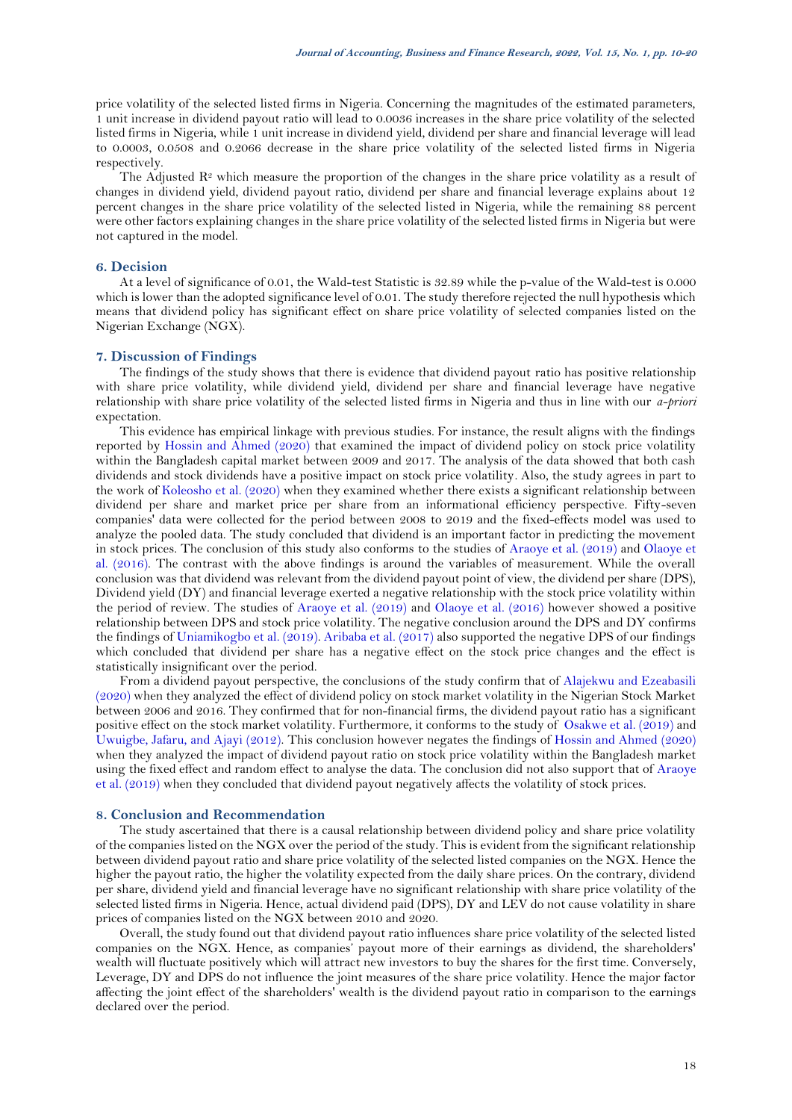price volatility of the selected listed firms in Nigeria. Concerning the magnitudes of the estimated parameters, 1 unit increase in dividend payout ratio will lead to 0.0036 increases in the share price volatility of the selected listed firms in Nigeria, while 1 unit increase in dividend yield, dividend per share and financial leverage will lead to 0.0003, 0.0508 and 0.2066 decrease in the share price volatility of the selected listed firms in Nigeria respectively.

The Adjusted  $\mathbb{R}^2$  which measure the proportion of the changes in the share price volatility as a result of changes in dividend yield, dividend payout ratio, dividend per share and financial leverage explains about 12 percent changes in the share price volatility of the selected listed in Nigeria, while the remaining 88 percent were other factors explaining changes in the share price volatility of the selected listed firms in Nigeria but were not captured in the model.

### **6. Decision**

At a level of significance of 0.01, the Wald-test Statistic is 32.89 while the p-value of the Wald-test is 0.000 which is lower than the adopted significance level of 0.01. The study therefore rejected the null hypothesis which means that dividend policy has significant effect on share price volatility of selected companies listed on the Nigerian Exchange (NGX).

### **7. Discussion of Findings**

The findings of the study shows that there is evidence that dividend payout ratio has positive relationship with share price volatility, while dividend yield, dividend per share and financial leverage have negative relationship with share price volatility of the selected listed firms in Nigeria and thus in line with our *a-priori* expectation.

This evidence has empirical linkage with previous studies. For instance, the result aligns with the findings reported by [Hossin and Ahmed \(2020\)](#page-9-22) that examined the impact of dividend policy on stock price volatility within the Bangladesh capital market between 2009 and 2017. The analysis of the data showed that both cash dividends and stock dividends have a positive impact on stock price volatility. Also, the study agrees in part to the work o[f Koleosho et al. \(2020\)](#page-9-23) when they examined whether there exists a significant relationship between dividend per share and market price per share from an informational efficiency perspective. Fifty-seven companies' data were collected for the period between 2008 to 2019 and the fixed-effects model was used to analyze the pooled data. The study concluded that dividend is an important factor in predicting the movement in stock prices. The conclusion of this study also conforms to the studies of [Araoye et al. \(2019\)](#page-9-7) and [Olaoye et](#page-10-8)  [al. \(2016\)](#page-10-8). The contrast with the above findings is around the variables of measurement. While the overall conclusion was that dividend was relevant from the dividend payout point of view, the dividend per share (DPS), Dividend yield (DY) and financial leverage exerted a negative relationship with the stock price volatility within the period of review. The studies of [Araoye et al. \(2019\)](#page-9-7) and [Olaoye et al. \(2016\)](#page-10-8) however showed a positive relationship between DPS and stock price volatility. The negative conclusion around the DPS and DY confirms the findings of [Uniamikogbo et al. \(2019\)](#page-10-4)[. Aribaba et al. \(2017\)](#page-9-27) also supported the negative DPS of our findings which concluded that dividend per share has a negative effect on the stock price changes and the effect is statistically insignificant over the period.

From a dividend payout perspective, the conclusions of the study confirm that of [Alajekwu and Ezeabasili](#page-9-6)  [\(2020\)](#page-9-6) when they analyzed the effect of dividend policy on stock market volatility in the Nigerian Stock Market between 2006 and 2016. They confirmed that for non-financial firms, the dividend payout ratio has a significant positive effect on the stock market volatility. Furthermore, it conforms to the study of [Osakwe et al. \(2019\)](#page-10-5) and [Uwuigbe, Jafaru, and Ajayi \(2012\)](#page-10-16). This conclusion however negates the findings of [Hossin and Ahmed \(2020\)](#page-9-22) when they analyzed the impact of dividend payout ratio on stock price volatility within the Bangladesh market using the fixed effect and random effect to analyse the data. The conclusion did not also support that of [Araoye](#page-9-7)  [et al. \(2019\)](#page-9-7) when they concluded that dividend payout negatively affects the volatility of stock prices.

### **8. Conclusion and Recommendation**

The study ascertained that there is a causal relationship between dividend policy and share price volatility of the companies listed on the NGX over the period of the study. This is evident from the significant relationship between dividend payout ratio and share price volatility of the selected listed companies on the NGX. Hence the higher the payout ratio, the higher the volatility expected from the daily share prices. On the contrary, dividend per share, dividend yield and financial leverage have no significant relationship with share price volatility of the selected listed firms in Nigeria. Hence, actual dividend paid (DPS), DY and LEV do not cause volatility in share prices of companies listed on the NGX between 2010 and 2020.

Overall, the study found out that dividend payout ratio influences share price volatility of the selected listed companies on the NGX. Hence, as companies' payout more of their earnings as dividend, the shareholders' wealth will fluctuate positively which will attract new investors to buy the shares for the first time. Conversely, Leverage, DY and DPS do not influence the joint measures of the share price volatility. Hence the major factor affecting the joint effect of the shareholders' wealth is the dividend payout ratio in comparison to the earnings declared over the period.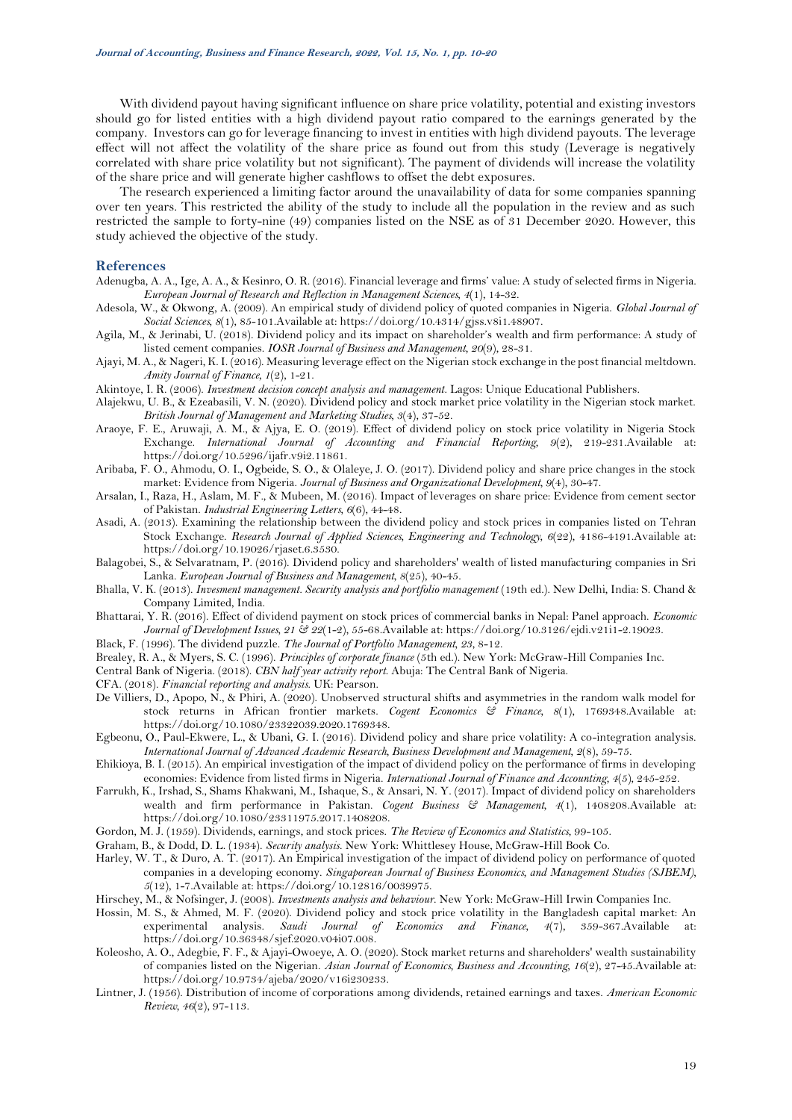With dividend payout having significant influence on share price volatility, potential and existing investors should go for listed entities with a high dividend payout ratio compared to the earnings generated by the company. Investors can go for leverage financing to invest in entities with high dividend payouts. The leverage effect will not affect the volatility of the share price as found out from this study (Leverage is negatively correlated with share price volatility but not significant). The payment of dividends will increase the volatility of the share price and will generate higher cashflows to offset the debt exposures.

The research experienced a limiting factor around the unavailability of data for some companies spanning over ten years. This restricted the ability of the study to include all the population in the review and as such restricted the sample to forty-nine (49) companies listed on the NSE as of 31 December 2020. However, this study achieved the objective of the study.

### **References**

- <span id="page-9-1"></span>Adenugba, A. A., Ige, A. A., & Kesinro, O. R. (2016). Financial leverage and firms' value: A study of selected firms in Nigeria. *European Journal of Research and Reflection in Management Sciences, 4*(1), 14-32.
- <span id="page-9-12"></span>Adesola, W., & Okwong, A. (2009). An empirical study of dividend policy of quoted companies in Nigeria. *Global Journal of Social Sciences, 8*(1), 85-101.Available at: https://doi.org/10.4314/gjss.v8i1.48907.
- <span id="page-9-0"></span>Agila, M., & Jerinabi, U. (2018). Dividend policy and its impact on shareholder's wealth and firm performance: A study of listed cement companies. *IOSR Journal of Business and Management, 20*(9), 28-31.
- <span id="page-9-17"></span>Ajayi, M. A., & Nageri, K. I. (2016). Measuring leverage effect on the Nigerian stock exchange in the post financial meltdown. *Amity Journal of Finance, 1*(2), 1-21.
- <span id="page-9-13"></span>Akintoye, I. R. (2006). *Investment decision concept analysis and management*. Lagos: Unique Educational Publishers.
- <span id="page-9-6"></span>Alajekwu, U. B., & Ezeabasili, V. N. (2020). Dividend policy and stock market price volatility in the Nigerian stock market. *British Journal of Management and Marketing Studies, 3*(4), 37-52.
- <span id="page-9-7"></span>Araoye, F. E., Aruwaji, A. M., & Ajya, E. O. (2019). Effect of dividend policy on stock price volatility in Nigeria Stock Exchange. *International Journal of Accounting and Financial Reporting, 9*(2), 219-231.Available at: https://doi.org/10.5296/ijafr.v9i2.11861.
- <span id="page-9-27"></span>Aribaba, F. O., Ahmodu, O. I., Ogbeide, S. O., & Olaleye, J. O. (2017). Dividend policy and share price changes in the stock market: Evidence from Nigeria. *Journal of Business and Organizational Development, 9*(4), 30-47.
- <span id="page-9-18"></span>Arsalan, I., Raza, H., Aslam, M. F., & Mubeen, M. (2016). Impact of leverages on share price: Evidence from cement sector of Pakistan. *Industrial Engineering Letters, 6*(6), 44-48.
- <span id="page-9-26"></span>Asadi, A. (2013). Examining the relationship between the dividend policy and stock prices in companies listed on Tehran Stock Exchange. *Research Journal of Applied Sciences, Engineering and Technology, 6*(22), 4186-4191.Available at: https://doi.org/10.19026/rjaset.6.3530.
- <span id="page-9-3"></span>Balagobei, S., & Selvaratnam, P. (2016). Dividend policy and shareholders' wealth of listed manufacturing companies in Sri Lanka. *European Journal of Business and Management, 8*(25), 40-45.
- <span id="page-9-21"></span>Bhalla, V. K. (2013). *Invesment management. Security analysis and portfolio management* (19th ed.). New Delhi, India: S. Chand & Company Limited, India.
- <span id="page-9-24"></span>Bhattarai, Y. R. (2016). Effect of dividend payment on stock prices of commercial banks in Nepal: Panel approach. *Economic Journal of Development Issues, 21 & 22*(1-2), 55-68.Available at: https://doi.org/10.3126/ejdi.v21i1-2.19023.
- <span id="page-9-14"></span>Black, F. (1996). The dividend puzzle. *The Journal of Portfolio Management, 23*, 8-12.
- <span id="page-9-2"></span>Brealey, R. A., & Myers, S. C. (1996). *Principles of corporate finance* (5th ed.). New York: McGraw-Hill Companies Inc.
- <span id="page-9-8"></span>Central Bank of Nigeria. (2018). *CBN half year activity report*. Abuja: The Central Bank of Nigeria.
- <span id="page-9-11"></span>CFA. (2018). *Financial reporting and analysis*. UK: Pearson.
- <span id="page-9-16"></span>De Villiers, D., Apopo, N., & Phiri, A. (2020). Unobserved structural shifts and asymmetries in the random walk model for stock returns in African frontier markets. *Cogent Economics & Finance, 8*(1), 1769348.Available at: https://doi.org/10.1080/23322039.2020.1769348.
- <span id="page-9-25"></span>Egbeonu, O., Paul-Ekwere, L., & Ubani, G. I. (2016). Dividend policy and share price volatility: A co-integration analysis. *International Journal of Advanced Academic Research, Business Development and Management, 2*(8), 59-75.
- <span id="page-9-4"></span>Ehikioya, B. I. (2015). An empirical investigation of the impact of dividend policy on the performance of firms in developing economies: Evidence from listed firms in Nigeria. *International Journal of Finance and Accounting, 4*(5), 245-252.
- <span id="page-9-5"></span>Farrukh, K., Irshad, S., Shams Khakwani, M., Ishaque, S., & Ansari, N. Y. (2017). Impact of dividend policy on shareholders wealth and firm performance in Pakistan. *Cogent Business & Management, 4*(1), 1408208.Available at: https://doi.org/10.1080/23311975.2017.1408208.
- <span id="page-9-15"></span>Gordon, M. J. (1959). Dividends, earnings, and stock prices. *The Review of Economics and Statistics*, 99-105.
- <span id="page-9-19"></span>Graham, B., & Dodd, D. L. (1934). *Security analysis*. New York: Whittlesey House, McGraw-Hill Book Co.
- <span id="page-9-9"></span>Harley, W. T., & Duro, A. T. (2017). An Empirical investigation of the impact of dividend policy on performance of quoted companies in a developing economy. *Singaporean Journal of Business Economics, and Management Studies (SJBEM), 5*(12), 1-7.Available at: https://doi.org/10.12816/0039975.
- <span id="page-9-10"></span>Hirschey, M., & Nofsinger, J. (2008). *Investments analysis and behaviour*. New York: McGraw-Hill Irwin Companies Inc.
- <span id="page-9-22"></span>Hossin, M. S., & Ahmed, M. F. (2020). Dividend policy and stock price volatility in the Bangladesh capital market: An experimental analysis. *Saudi Journal of Economics and Finance*, 4(7), 359-367.Available https://doi.org/10.36348/sjef.2020.v04i07.008.
- <span id="page-9-23"></span>Koleosho, A. O., Adegbie, F. F., & Ajayi-Owoeye, A. O. (2020). Stock market returns and shareholders' wealth sustainability of companies listed on the Nigerian. *Asian Journal of Economics, Business and Accounting, 16*(2), 27-45.Available at: https://doi.org/10.9734/ajeba/2020/v16i230233.
- <span id="page-9-20"></span>Lintner, J. (1956). Distribution of income of corporations among dividends, retained earnings and taxes. *American Economic Review, 46*(2), 97-113.